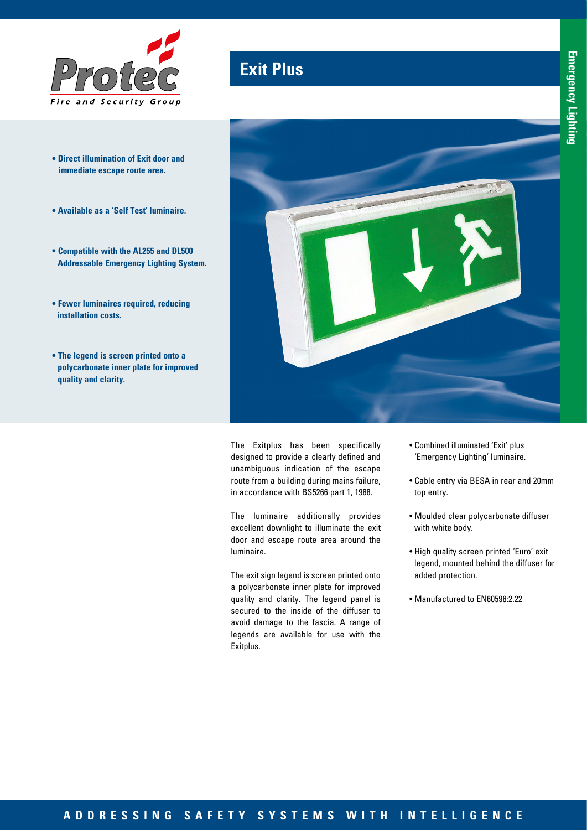

- **Direct illumination of Exit door and immediate escape route area.**
- **Available as a 'Self Test' luminaire.**
- **Compatible with the AL255 and DL500 Addressable Emergency Lighting System.**
- **Fewer luminaires required, reducing installation costs.**
- **The legend is screen printed onto a polycarbonate inner plate for improved quality and clarity.**

# **Exit Plus**



The Exitplus has been specifically designed to provide a clearly defined and unambiguous indication of the escape route from a building during mains failure, in accordance with BS5266 part 1, 1988.

The luminaire additionally provides excellent downlight to illuminate the exit door and escape route area around the luminaire.

The exit sign legend is screen printed onto a polycarbonate inner plate for improved quality and clarity. The legend panel is secured to the inside of the diffuser to avoid damage to the fascia. A range of legends are available for use with the Exitplus.

- Combined illuminated 'Exit' plus 'Emergency Lighting' luminaire.
- Cable entry via BESA in rear and 20mm top entry.
- Moulded clear polycarbonate diffuser with white body.
- High quality screen printed 'Euro' exit legend, mounted behind the diffuser for added protection.
- Manufactured to EN60598:2.22